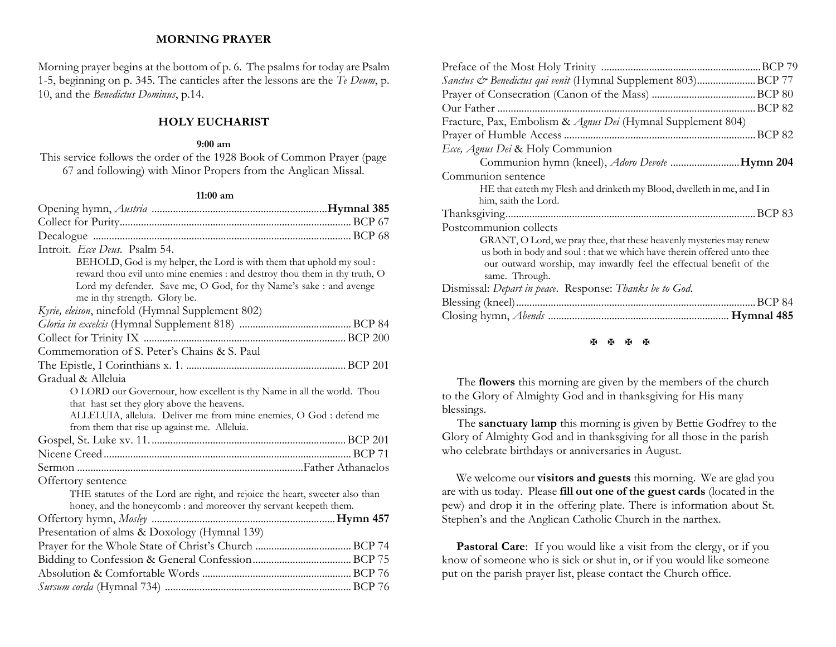## **MORNING PRAYER**

Morning prayer begins at the bottom of p. 6. The psalms for today are Psalm 1-5, beginning on p. 345. The canticles after the lessons are the *Te Deum*, p. 10, and the *Benedictus Dominus*, p.14.

## **HOLY EUCHARIST**

#### **9:00 am**

This service follows the order of the 1928 Book of Common Prayer (page 67 and following) with Minor Propers from the Anglican Missal.

#### **11:00 am**

| Introit. Ecce Deus. Psalm 54.                                                                                                                     |  |
|---------------------------------------------------------------------------------------------------------------------------------------------------|--|
| BEHOLD, God is my helper, the Lord is with them that uphold my soul :                                                                             |  |
| reward thou evil unto mine enemies : and destroy thou them in thy truth, O                                                                        |  |
| Lord my defender. Save me, O God, for thy Name's sake : and avenge                                                                                |  |
| me in thy strength. Glory be.                                                                                                                     |  |
| Kyrie, eleison, ninefold (Hymnal Supplement 802)                                                                                                  |  |
|                                                                                                                                                   |  |
|                                                                                                                                                   |  |
| Commemoration of S. Peter's Chains & S. Paul                                                                                                      |  |
|                                                                                                                                                   |  |
| Gradual & Alleluia                                                                                                                                |  |
| O LORD our Governour, how excellent is thy Name in all the world. Thou                                                                            |  |
| that hast set they glory above the heavens.                                                                                                       |  |
| ALLELUIA, alleluia. Deliver me from mine enemies, O God : defend me                                                                               |  |
| from them that rise up against me. Alleluia.                                                                                                      |  |
|                                                                                                                                                   |  |
|                                                                                                                                                   |  |
|                                                                                                                                                   |  |
| Offertory sentence                                                                                                                                |  |
| THE statutes of the Lord are right, and rejoice the heart, sweeter also than<br>honey, and the honeycomb : and moreover thy servant keepeth them. |  |
|                                                                                                                                                   |  |
| Presentation of alms & Doxology (Hymnal 139)                                                                                                      |  |
|                                                                                                                                                   |  |
|                                                                                                                                                   |  |
|                                                                                                                                                   |  |
|                                                                                                                                                   |  |
|                                                                                                                                                   |  |

| Sanctus & Benedictus qui venit (Hymnal Supplement 803)BCP 77                          |  |  |
|---------------------------------------------------------------------------------------|--|--|
|                                                                                       |  |  |
|                                                                                       |  |  |
| Fracture, Pax, Embolism & Agnus Dei (Hymnal Supplement 804)                           |  |  |
|                                                                                       |  |  |
| Ecce, Agnus Dei & Holy Communion                                                      |  |  |
| Communion hymn (kneel), <i>Adoro Devote</i> Hymn 204                                  |  |  |
| Communion sentence                                                                    |  |  |
| HE that eateth my Flesh and drinketh my Blood, dwelleth in me, and I in               |  |  |
| him, saith the Lord.                                                                  |  |  |
|                                                                                       |  |  |
| Postcommunion collects                                                                |  |  |
| GRANT, O Lord, we pray thee, that these heavenly mysteries may renew                  |  |  |
| us both in body and soul: that we which have therein offered unto thee                |  |  |
| our outward worship, may inwardly feel the effectual benefit of the<br>same. Through. |  |  |
| Dismissal: Depart in peace. Response: Thanks be to God.                               |  |  |
|                                                                                       |  |  |
|                                                                                       |  |  |

#### **H H H H**

 The **flowers** this morning are given by the members of the church to the Glory of Almighty God and in thanksgiving for His many blessings.

 The **sanctuary lamp** this morning is given by Bettie Godfrey to the Glory of Almighty God and in thanksgiving for all those in the parish who celebrate birthdays or anniversaries in August.

We welcome our **visitors and guests** this morning. We are glad you are with us today. Please **fill out one of the guest cards** (located in the pew) and drop it in the offering plate. There is information about St. Stephen's and the Anglican Catholic Church in the narthex.

Pastoral Care: If you would like a visit from the clergy, or if you know of someone who is sick or shut in, or if you would like someone put on the parish prayer list, please contact the Church office.